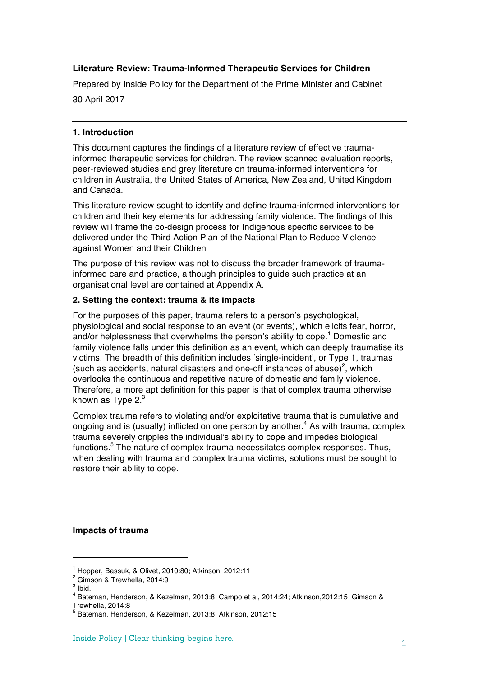## **Literature Review: Trauma-Informed Therapeutic Services for Children**

Prepared by Inside Policy for the Department of the Prime Minister and Cabinet 30 April 2017

#### **1. Introduction**

This document captures the findings of a literature review of effective traumainformed therapeutic services for children. The review scanned evaluation reports, peer-reviewed studies and grey literature on trauma-informed interventions for children in Australia, the United States of America, New Zealand, United Kingdom and Canada.

This literature review sought to identify and define trauma-informed interventions for children and their key elements for addressing family violence. The findings of this review will frame the co-design process for Indigenous specific services to be delivered under the Third Action Plan of the National Plan to Reduce Violence against Women and their Children

The purpose of this review was not to discuss the broader framework of traumainformed care and practice, although principles to guide such practice at an organisational level are contained at Appendix A.

#### **2. Setting the context: trauma & its impacts**

For the purposes of this paper, trauma refers to a person's psychological, physiological and social response to an event (or events), which elicits fear, horror, and/or helplessness that overwhelms the person's ability to cope. <sup>1</sup> Domestic and family violence falls under this definition as an event, which can deeply traumatise its victims. The breadth of this definition includes 'single-incident', or Type 1, traumas (such as accidents, natural disasters and one-off instances of abuse)<sup>2</sup>, which overlooks the continuous and repetitive nature of domestic and family violence. Therefore, a more apt definition for this paper is that of complex trauma otherwise known as Type  $2<sup>3</sup>$ 

Complex trauma refers to violating and/or exploitative trauma that is cumulative and ongoing and is (usually) inflicted on one person by another.<sup>4</sup> As with trauma, complex trauma severely cripples the individual's ability to cope and impedes biological functions.<sup>5</sup> The nature of complex trauma necessitates complex responses. Thus, when dealing with trauma and complex trauma victims, solutions must be sought to restore their ability to cope.

#### **Impacts of trauma**

<sup>&</sup>lt;sup>1</sup> Hopper, Bassuk, & Olivet, 2010:80; Atkinson, 2012:11<br><sup>2</sup> Gimson & Trewhella, 2014:9

 $3$  Ibid.

<sup>4</sup> Bateman, Henderson, & Kezelman, 2013:8; Campo et al, 2014:24; Atkinson,2012:15; Gimson &

Trewhella, 2014:8

<sup>5</sup> Bateman, Henderson, & Kezelman, 2013:8; Atkinson, 2012:15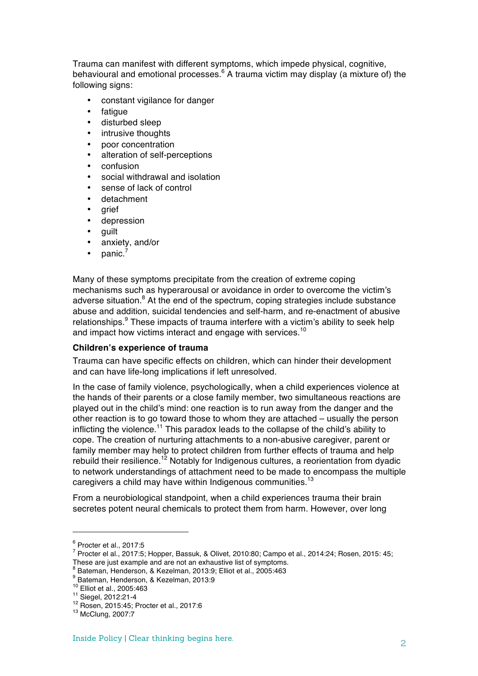Trauma can manifest with different symptoms, which impede physical, cognitive, behavioural and emotional processes. $6$  A trauma victim may display (a mixture of) the following signs:

- constant vigilance for danger
- fatique
- disturbed sleep
- intrusive thoughts
- poor concentration
- alteration of self-perceptions
- confusion
- social withdrawal and isolation
- sense of lack of control
- detachment
- grief
- depression
- guilt
- anxiety, and/or
- panic.<sup>7</sup>

Many of these symptoms precipitate from the creation of extreme coping mechanisms such as hyperarousal or avoidance in order to overcome the victim's adverse situation. $8$  At the end of the spectrum, coping strategies include substance abuse and addition, suicidal tendencies and self-harm, and re-enactment of abusive relationships.<sup>9</sup> These impacts of trauma interfere with a victim's ability to seek help and impact how victims interact and engage with services.<sup>10</sup>

#### **Children's experience of trauma**

Trauma can have specific effects on children, which can hinder their development and can have life-long implications if left unresolved.

In the case of family violence, psychologically, when a child experiences violence at the hands of their parents or a close family member, two simultaneous reactions are played out in the child's mind: one reaction is to run away from the danger and the other reaction is to go toward those to whom they are attached – usually the person inflicting the violence.<sup>11</sup> This paradox leads to the collapse of the child's ability to cope. The creation of nurturing attachments to a non-abusive caregiver, parent or family member may help to protect children from further effects of trauma and help rebuild their resilience.<sup>12</sup> Notably for Indigenous cultures, a reorientation from dyadic to network understandings of attachment need to be made to encompass the multiple caregivers a child may have within Indigenous communities.<sup>13</sup>

From a neurobiological standpoint, when a child experiences trauma their brain secretes potent neural chemicals to protect them from harm. However, over long

- <sup>7</sup> Procter el al., 2017:5; Hopper, Bassuk, & Olivet, 2010:80; Campo et al., 2014:24; Rosen, 2015: 45; These are just example and are not an exhaustive list of symptoms.
- <sup>8</sup> Bateman, Henderson, & Kezelman, 2013:9; Elliot et al., 2005:463<br>
<sup>9</sup> Bateman, Henderson, & Kezelman, 2013:9<br>
<sup>10</sup> Elliot et al., 2005:463<br>
<sup>11</sup> Siegel, 2012:21-4<br>
<sup>12</sup> Rosen, 2015:45; Procter et al., 2017:6<br>
<sup>13</sup> McCl

 $6$  Procter et al., 2017:5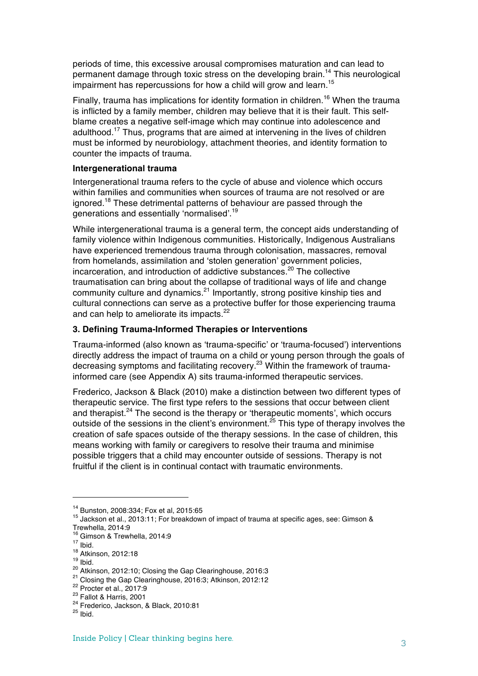periods of time, this excessive arousal compromises maturation and can lead to permanent damage through toxic stress on the developing brain.<sup>14</sup> This neurological impairment has repercussions for how a child will grow and learn.<sup>15</sup>

Finally, trauma has implications for identity formation in children.<sup>16</sup> When the trauma is inflicted by a family member, children may believe that it is their fault. This selfblame creates a negative self-image which may continue into adolescence and adulthood.17 Thus, programs that are aimed at intervening in the lives of children must be informed by neurobiology, attachment theories, and identity formation to counter the impacts of trauma.

#### **Intergenerational trauma**

Intergenerational trauma refers to the cycle of abuse and violence which occurs within families and communities when sources of trauma are not resolved or are ignored.<sup>18</sup> These detrimental patterns of behaviour are passed through the generations and essentially 'normalised'.<sup>19</sup>

While intergenerational trauma is a general term, the concept aids understanding of family violence within Indigenous communities. Historically, Indigenous Australians have experienced tremendous trauma through colonisation, massacres, removal from homelands, assimilation and 'stolen generation' government policies, incarceration, and introduction of addictive substances.<sup>20</sup> The collective traumatisation can bring about the collapse of traditional ways of life and change community culture and dynamics.<sup>21</sup> Importantly, strong positive kinship ties and cultural connections can serve as a protective buffer for those experiencing trauma and can help to ameliorate its impacts.<sup>22</sup>

## **3. Defining Trauma-Informed Therapies or Interventions**

Trauma-informed (also known as 'trauma-specific' or 'trauma-focused') interventions directly address the impact of trauma on a child or young person through the goals of decreasing symptoms and facilitating recovery.23 Within the framework of traumainformed care (see Appendix A) sits trauma-informed therapeutic services.

Frederico, Jackson & Black (2010) make a distinction between two different types of therapeutic service. The first type refers to the sessions that occur between client and therapist.<sup>24</sup> The second is the therapy or 'therapeutic moments', which occurs outside of the sessions in the client's environment.<sup>25</sup> This type of therapy involves the creation of safe spaces outside of the therapy sessions. In the case of children, this means working with family or caregivers to resolve their trauma and minimise possible triggers that a child may encounter outside of sessions. Therapy is not fruitful if the client is in continual contact with traumatic environments.

<sup>&</sup>lt;sup>14</sup> Bunston, 2008:334; Fox et al, 2015:65<br><sup>15</sup> Jackson et al., 2013:11; For breakdown of impact of trauma at specific ages, see: Gimson & Trewhella, 2014:9<br><sup>16</sup> Gimson & Trewhella, 2014:9

<sup>&</sup>lt;sup>17</sup> Ibid.<br>
<sup>18</sup> Atkinson, 2012:18<br>
<sup>18</sup> Atkinson, 2012:10; Closing the Gap Clearinghouse, 2016:3<br>
<sup>21</sup> Closing the Gap Clearinghouse, 2016:3; Atkinson, 2012:12<br>
<sup>22</sup> Procter et al., 2017:9<br>
<sup>23</sup> Fallot & Harris, 2001<br>
<sup>2</sup>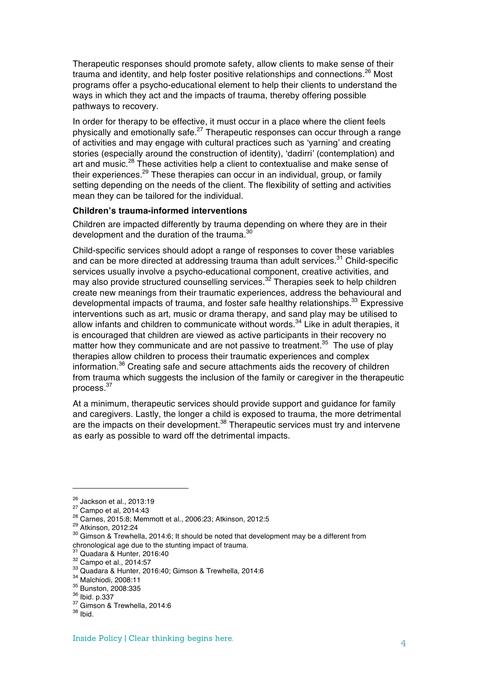Therapeutic responses should promote safety, allow clients to make sense of their trauma and identity, and help foster positive relationships and connections.<sup>26</sup> Most programs offer a psycho-educational element to help their clients to understand the ways in which they act and the impacts of trauma, thereby offering possible pathways to recovery.

In order for therapy to be effective, it must occur in a place where the client feels physically and emotionally safe.<sup>27</sup> Therapeutic responses can occur through a range of activities and may engage with cultural practices such as 'yarning' and creating stories (especially around the construction of identity), 'dadirri' (contemplation) and art and music.<sup>28</sup> These activities help a client to contextualise and make sense of their experiences.<sup>29</sup> These therapies can occur in an individual, group, or family setting depending on the needs of the client. The flexibility of setting and activities mean they can be tailored for the individual.

#### **Children's trauma-informed interventions**

Children are impacted differently by trauma depending on where they are in their development and the duration of the trauma.<sup>30</sup>

Child-specific services should adopt a range of responses to cover these variables and can be more directed at addressing trauma than adult services.<sup>31</sup> Child-specific services usually involve a psycho-educational component, creative activities, and may also provide structured counselling services.<sup>32</sup> Therapies seek to help children create new meanings from their traumatic experiences, address the behavioural and developmental impacts of trauma, and foster safe healthy relationships.<sup>33</sup> Expressive interventions such as art, music or drama therapy, and sand play may be utilised to allow infants and children to communicate without words.<sup>34</sup> Like in adult therapies, it is encouraged that children are viewed as active participants in their recovery no matter how they communicate and are not passive to treatment.<sup>35</sup> The use of play therapies allow children to process their traumatic experiences and complex information.<sup>36</sup> Creating safe and secure attachments aids the recovery of children from trauma which suggests the inclusion of the family or caregiver in the therapeutic process.37

At a minimum, therapeutic services should provide support and guidance for family and caregivers. Lastly, the longer a child is exposed to trauma, the more detrimental are the impacts on their development.<sup>38</sup> Therapeutic services must try and intervene as early as possible to ward off the detrimental impacts.

<sup>&</sup>lt;sup>26</sup> Jackson et al., 2013:19<br><sup>27</sup> Campo et al, 2014:43<br><sup>28</sup> Carnes, 2015:8; Memmott et al., 2006:23; Atkinson, 2012:5<br><sup>29</sup> Atkinson, 2012:24<br><sup>30</sup> Gimson & Trewhella, 2014:6; It should be noted that development may be a di chronological age due to the stunting impact of trauma.<br><sup>31</sup> Quadara & Hunter, 2016:40<br><sup>32</sup> Campo et al., 2014:57<br><sup>33</sup> Quadara & Hunter, 2016:40; Gimson & Trewhella, 2014:6<br><sup>34</sup> Malchiodi, 2008:11<br><sup>35</sup> Bunston, 2008:335<br><sup></sup>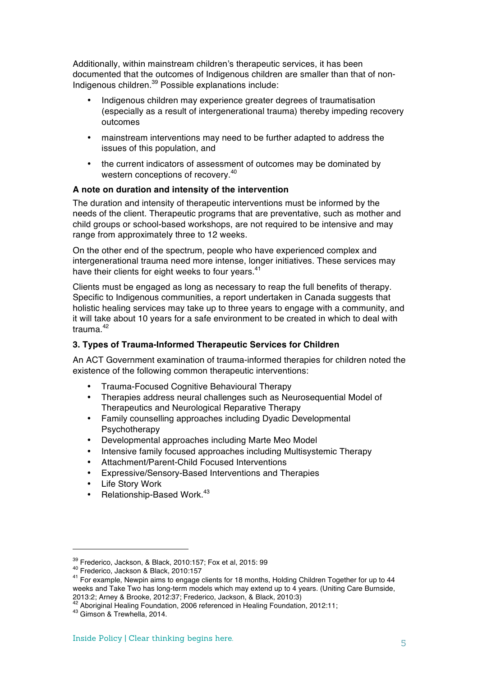Additionally, within mainstream children's therapeutic services, it has been documented that the outcomes of Indigenous children are smaller than that of non-Indigenous children.<sup>39</sup> Possible explanations include:

- Indigenous children may experience greater degrees of traumatisation (especially as a result of intergenerational trauma) thereby impeding recovery outcomes
- mainstream interventions may need to be further adapted to address the issues of this population, and
- the current indicators of assessment of outcomes may be dominated by western conceptions of recovery.<sup>40</sup>

## **A note on duration and intensity of the intervention**

The duration and intensity of therapeutic interventions must be informed by the needs of the client. Therapeutic programs that are preventative, such as mother and child groups or school-based workshops, are not required to be intensive and may range from approximately three to 12 weeks.

On the other end of the spectrum, people who have experienced complex and intergenerational trauma need more intense, longer initiatives. These services may have their clients for eight weeks to four years.<sup>41</sup>

Clients must be engaged as long as necessary to reap the full benefits of therapy. Specific to Indigenous communities, a report undertaken in Canada suggests that holistic healing services may take up to three years to engage with a community, and it will take about 10 years for a safe environment to be created in which to deal with trauma. $42$ 

## **3. Types of Trauma-Informed Therapeutic Services for Children**

An ACT Government examination of trauma-informed therapies for children noted the existence of the following common therapeutic interventions:

- Trauma-Focused Cognitive Behavioural Therapy
- Therapies address neural challenges such as Neurosequential Model of Therapeutics and Neurological Reparative Therapy
- Family counselling approaches including Dyadic Developmental Psychotherapy
- Developmental approaches including Marte Meo Model
- Intensive family focused approaches including Multisystemic Therapy
- Attachment/Parent-Child Focused Interventions
- Expressive/Sensory-Based Interventions and Therapies
- Life Story Work
- Relationship-Based Work.<sup>43</sup>

<sup>&</sup>lt;sup>39</sup> Frederico, Jackson, & Black, 2010:157; Fox et al, 2015: 99<br><sup>40</sup> Frederico, Jackson & Black, 2010:157<br><sup>41</sup> For example, Newpin aims to engage clients for 18 months, Holding Children Together for up to 44 weeks and Take Two has long-term models which may extend up to 4 years. (Uniting Care Burnside, 2013:2; Arney & Brooke, 2012:37; Frederico, Jackson, & Black, 2010:3)

<sup>&</sup>lt;sup>42</sup> Aboriginal Healing Foundation, 2006 referenced in Healing Foundation, 2012:11;  $43$  Gimson & Trewhella, 2014.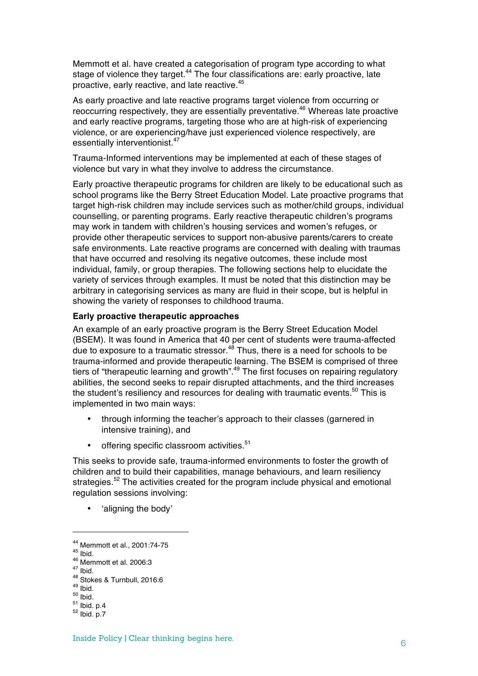Memmott et al. have created a categorisation of program type according to what stage of violence they target.<sup>44</sup> The four classifications are: early proactive, late proactive, early reactive, and late reactive.45

As early proactive and late reactive programs target violence from occurring or reoccurring respectively, they are essentially preventative.<sup>46</sup> Whereas late proactive and early reactive programs, targeting those who are at high-risk of experiencing violence, or are experiencing/have just experienced violence respectively, are essentially interventionist.<sup>47</sup>

Trauma-Informed interventions may be implemented at each of these stages of violence but vary in what they involve to address the circumstance.

Early proactive therapeutic programs for children are likely to be educational such as school programs like the Berry Street Education Model. Late proactive programs that target high-risk children may include services such as mother/child groups, individual counselling, or parenting programs. Early reactive therapeutic children's programs may work in tandem with children's housing services and women's refuges, or provide other therapeutic services to support non-abusive parents/carers to create safe environments. Late reactive programs are concerned with dealing with traumas that have occurred and resolving its negative outcomes, these include most individual, family, or group therapies. The following sections help to elucidate the variety of services through examples. It must be noted that this distinction may be arbitrary in categorising services as many are fluid in their scope, but is helpful in showing the variety of responses to childhood trauma.

### **Early proactive therapeutic approaches**

An example of an early proactive program is the Berry Street Education Model (BSEM). It was found in America that 40 per cent of students were trauma-affected due to exposure to a traumatic stressor. $48$  Thus, there is a need for schools to be trauma-informed and provide therapeutic learning. The BSEM is comprised of three tiers of "therapeutic learning and growth".<sup>49</sup> The first focuses on repairing regulatory abilities, the second seeks to repair disrupted attachments, and the third increases the student's resiliency and resources for dealing with traumatic events.<sup>50</sup> This is implemented in two main ways:

- through informing the teacher's approach to their classes (garnered in intensive training), and
- offering specific classroom activities.<sup>51</sup>

This seeks to provide safe, trauma-informed environments to foster the growth of children and to build their capabilities, manage behaviours, and learn resiliency strategies.<sup>52</sup> The activities created for the program include physical and emotional regulation sessions involving:

• 'aligning the body'

<sup>44</sup> Memmott et al., 2001:74-75<br>
45 Ibid.<br>
46 Memmott et al. 2006:3<br>
47 Ibid.<br>
48 Stokes & Turnbull, 2016:6<br>
49 Ibid.<br>
50 Ibid.<br>
51 Ibid. p.4<br>
52 Ibid. p.7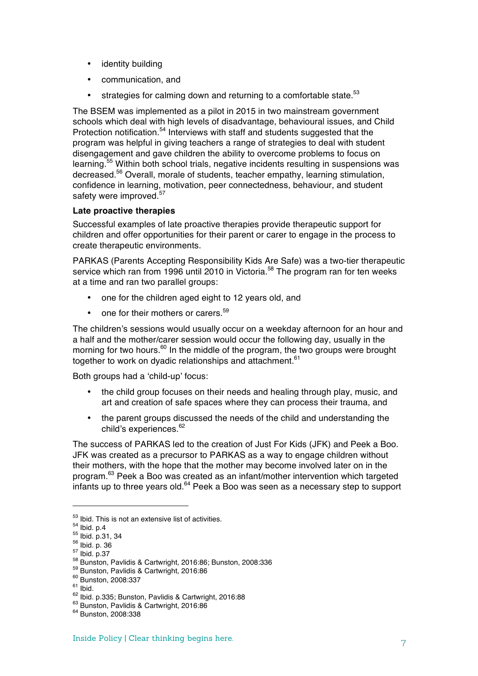- identity building
- communication, and
- strategies for calming down and returning to a comfortable state. $53$

The BSEM was implemented as a pilot in 2015 in two mainstream government schools which deal with high levels of disadvantage, behavioural issues, and Child Protection notification.<sup>54</sup> Interviews with staff and students suggested that the program was helpful in giving teachers a range of strategies to deal with student disengagement and gave children the ability to overcome problems to focus on learning.<sup>55</sup> Within both school trials, negative incidents resulting in suspensions was decreased.56 Overall, morale of students, teacher empathy, learning stimulation, confidence in learning, motivation, peer connectedness, behaviour, and student safety were improved.<sup>57</sup>

## **Late proactive therapies**

Successful examples of late proactive therapies provide therapeutic support for children and offer opportunities for their parent or carer to engage in the process to create therapeutic environments.

PARKAS (Parents Accepting Responsibility Kids Are Safe) was a two-tier therapeutic service which ran from 1996 until 2010 in Victoria.<sup>58</sup> The program ran for ten weeks at a time and ran two parallel groups:

- one for the children aged eight to 12 years old, and
- one for their mothers or carers.<sup>59</sup>

The children's sessions would usually occur on a weekday afternoon for an hour and a half and the mother/carer session would occur the following day, usually in the morning for two hours.<sup>60</sup> In the middle of the program, the two groups were brought together to work on dyadic relationships and attachment.<sup>61</sup>

Both groups had a 'child-up' focus:

- the child group focuses on their needs and healing through play, music, and art and creation of safe spaces where they can process their trauma, and
- the parent groups discussed the needs of the child and understanding the child's experiences.<sup>62</sup>

The success of PARKAS led to the creation of Just For Kids (JFK) and Peek a Boo. JFK was created as a precursor to PARKAS as a way to engage children without their mothers, with the hope that the mother may become involved later on in the program.63 Peek a Boo was created as an infant/mother intervention which targeted infants up to three years old.<sup>64</sup> Peek a Boo was seen as a necessary step to support

<sup>&</sup>lt;sup>53</sup> Ibid. This is not an extensive list of activities.<br><sup>54</sup> Ibid. p.4<br><sup>55</sup> Ibid. p.31, 34<br><sup>56</sup> Ibid. p.37<br><sup>57</sup> Ibid. p.37<br><sup>58</sup> Bunston, Pavlidis & Cartwright, 2016:86; Bunston, 2008:336<br><sup>59</sup> Bunston, Pavlidis & Cartwrigh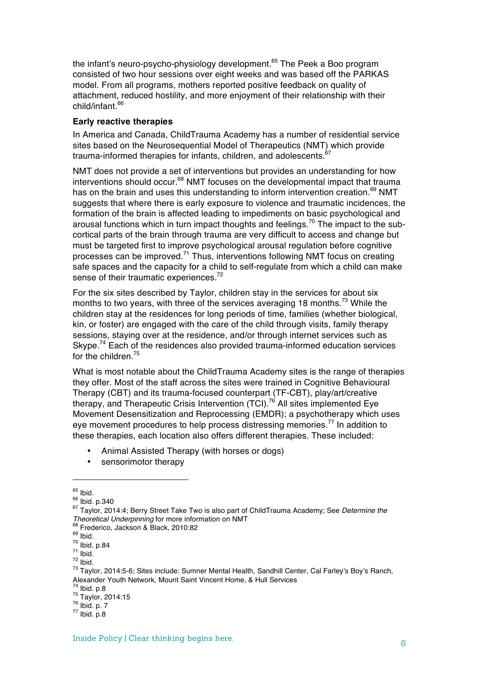the infant's neuro-psycho-physiology development.<sup>65</sup> The Peek a Boo program consisted of two hour sessions over eight weeks and was based off the PARKAS model. From all programs, mothers reported positive feedback on quality of attachment, reduced hostility, and more enjoyment of their relationship with their child/infant.<sup>66</sup>

### **Early reactive therapies**

In America and Canada, ChildTrauma Academy has a number of residential service sites based on the Neurosequential Model of Therapeutics (NMT) which provide trauma-informed therapies for infants, children, and adolescents.<sup>67</sup>

NMT does not provide a set of interventions but provides an understanding for how interventions should occur.<sup>68</sup> NMT focuses on the developmental impact that trauma has on the brain and uses this understanding to inform intervention creation.<sup>69</sup> NMT suggests that where there is early exposure to violence and traumatic incidences, the formation of the brain is affected leading to impediments on basic psychological and arousal functions which in turn impact thoughts and feelings.<sup>70</sup> The impact to the subcortical parts of the brain through trauma are very difficult to access and change but must be targeted first to improve psychological arousal regulation before cognitive processes can be improved.<sup>71</sup> Thus, interventions following NMT focus on creating safe spaces and the capacity for a child to self-regulate from which a child can make sense of their traumatic experiences.<sup>72</sup>

For the six sites described by Taylor, children stay in the services for about six months to two years, with three of the services averaging 18 months.<sup>73</sup> While the children stay at the residences for long periods of time, families (whether biological, kin, or foster) are engaged with the care of the child through visits, family therapy sessions, staying over at the residence, and/or through internet services such as Skype.<sup>74</sup> Each of the residences also provided trauma-informed education services for the children.<sup>75</sup>

What is most notable about the ChildTrauma Academy sites is the range of therapies they offer. Most of the staff across the sites were trained in Cognitive Behavioural Therapy (CBT) and its trauma-focused counterpart (TF-CBT), play/art/creative therapy, and Therapeutic Crisis Intervention  $(TCI)$ <sup>76</sup> All sites implemented Eye Movement Desensitization and Reprocessing (EMDR); a psychotherapy which uses eye movement procedures to help process distressing memories.<sup>77</sup> In addition to these therapies, each location also offers different therapies. These included:

- Animal Assisted Therapy (with horses or dogs)
- sensorimotor therapy

<sup>&</sup>lt;sup>65</sup> Ibid.<br><sup>66</sup> Ibid. p.340<br><sup>67</sup> Taylor, 2014:4; Berry Street Take Two is also part of ChildTrauma Academy; See *Determine the*<br>*Theoretical Underpinning* for more information on NMT

<sup>&</sup>lt;sup>68</sup> Frederico, Jackson & Black, 2010:82<br><sup>69</sup> Ibid.<br><sup>70</sup> Ibid.<br><sup>71</sup> Ibid.<br><sup>71</sup> Ibid.<br><sup>73</sup> Taylor, 2014:5-6; Sites include: Sumner Mental Health, Sandhill Center, Cal Farley's Boy's Ranch, Alexander Youth Network, Mount Saint Vincent Home, & Hull Services<br>
<sup>74</sup> Ibid. p.8<br>
<sup>75</sup> Taylor, 2014:15<br>
<sup>76</sup> Ibid. p. 7<br>
<sup>77</sup> Ibid. p.8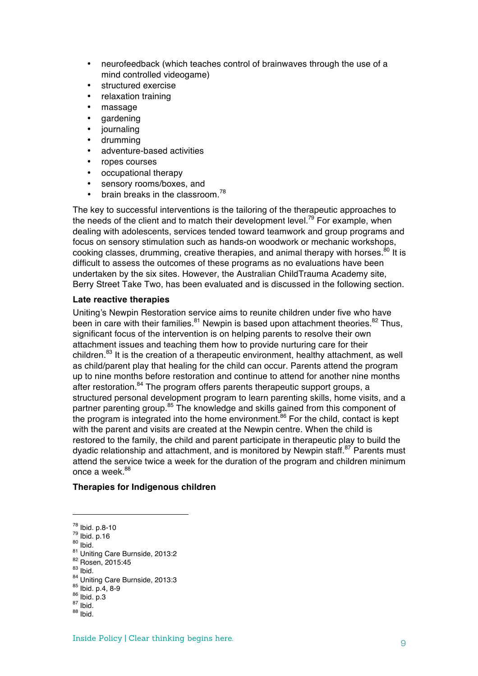- neurofeedback (which teaches control of brainwaves through the use of a mind controlled videogame)
- structured exercise
- relaxation training
- massage
- gardening
- journaling
- drumming
- adventure-based activities
- ropes courses
- occupational therapy
- sensory rooms/boxes, and
- brain breaks in the classroom.<sup>78</sup>

The key to successful interventions is the tailoring of the therapeutic approaches to the needs of the client and to match their development level.<sup>79</sup> For example, when dealing with adolescents, services tended toward teamwork and group programs and focus on sensory stimulation such as hands-on woodwork or mechanic workshops, cooking classes, drumming, creative therapies, and animal therapy with horses.<sup>80</sup> It is difficult to assess the outcomes of these programs as no evaluations have been undertaken by the six sites. However, the Australian ChildTrauma Academy site, Berry Street Take Two, has been evaluated and is discussed in the following section.

## **Late reactive therapies**

Uniting's Newpin Restoration service aims to reunite children under five who have been in care with their families. $81$  Newpin is based upon attachment theories. $82$  Thus, significant focus of the intervention is on helping parents to resolve their own attachment issues and teaching them how to provide nurturing care for their children.<sup>83</sup> It is the creation of a therapeutic environment, healthy attachment, as well as child/parent play that healing for the child can occur. Parents attend the program up to nine months before restoration and continue to attend for another nine months after restoration.<sup>84</sup> The program offers parents therapeutic support groups, a structured personal development program to learn parenting skills, home visits, and a partner parenting group.<sup>85</sup> The knowledge and skills gained from this component of the program is integrated into the home environment.<sup>86</sup> For the child, contact is kept with the parent and visits are created at the Newpin centre. When the child is restored to the family, the child and parent participate in therapeutic play to build the dyadic relationship and attachment, and is monitored by Newpin staff.<sup>87</sup> Parents must attend the service twice a week for the duration of the program and children minimum once a week  $88$ 

## **Therapies for Indigenous children**

- 78 Ibid. p.8-10<br>
79 Ibid. p.16<br>
80 Ibid.<br>
81 Uniting Care Burnside, 2013:2<br>
82 Rosen, 2015:45<br>
83 Ibid.<br>
84 Uniting Care Burnside, 2013:3<br>
85 Ibid. p.4, 8-9<br>
86 Ibid. p.3<br>
87 Ibid.<br>
88 Ibid. 88 Ibid.
- 
-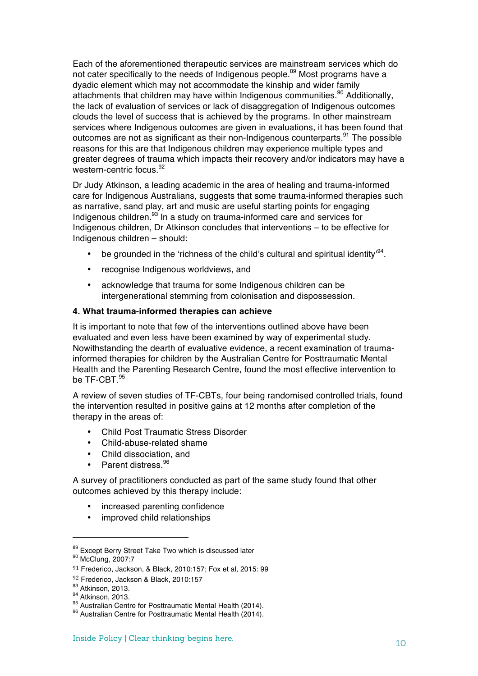Each of the aforementioned therapeutic services are mainstream services which do not cater specifically to the needs of Indigenous people.<sup>89</sup> Most programs have a dyadic element which may not accommodate the kinship and wider family attachments that children may have within Indigenous communities.<sup>90</sup> Additionally, the lack of evaluation of services or lack of disaggregation of Indigenous outcomes clouds the level of success that is achieved by the programs. In other mainstream services where Indigenous outcomes are given in evaluations, it has been found that outcomes are not as significant as their non-Indigenous counterparts. $91$  The possible reasons for this are that Indigenous children may experience multiple types and greater degrees of trauma which impacts their recovery and/or indicators may have a western-centric focus.<sup>92</sup>

Dr Judy Atkinson, a leading academic in the area of healing and trauma-informed care for Indigenous Australians, suggests that some trauma-informed therapies such as narrative, sand play, art and music are useful starting points for engaging Indigenous children.<sup>93</sup> In a study on trauma-informed care and services for Indigenous children, Dr Atkinson concludes that interventions – to be effective for Indigenous children – should:

- be grounded in the 'richness of the child's cultural and spiritual identity<sup>94</sup>.
- recognise Indigenous worldviews, and
- acknowledge that trauma for some Indigenous children can be intergenerational stemming from colonisation and dispossession.

#### **4. What trauma-informed therapies can achieve**

It is important to note that few of the interventions outlined above have been evaluated and even less have been examined by way of experimental study. Nowithstanding the dearth of evaluative evidence, a recent examination of traumainformed therapies for children by the Australian Centre for Posttraumatic Mental Health and the Parenting Research Centre, found the most effective intervention to be TF-CBT. $^{95}$ 

A review of seven studies of TF-CBTs, four being randomised controlled trials, found the intervention resulted in positive gains at 12 months after completion of the therapy in the areas of:

- Child Post Traumatic Stress Disorder
- Child-abuse-related shame
- Child dissociation, and
- Parent distress.<sup>96</sup>

A survey of practitioners conducted as part of the same study found that other outcomes achieved by this therapy include:

- increased parenting confidence
- improved child relationships

 $89$  Except Berry Street Take Two which is discussed later  $90$  McClung, 2007:7

<sup>91</sup> Frederico, Jackson, & Black, 2010:157; Fox et al, 2015: 99

 $92$  Frederico, Jackson & Black, 2010:157<br> $93$  Atkinson, 2013.

<sup>94</sup> Atkinson, 2013.<br><sup>95</sup> Australian Centre for Posttraumatic Mental Health (2014).<br><sup>96</sup> Australian Centre for Posttraumatic Mental Health (2014).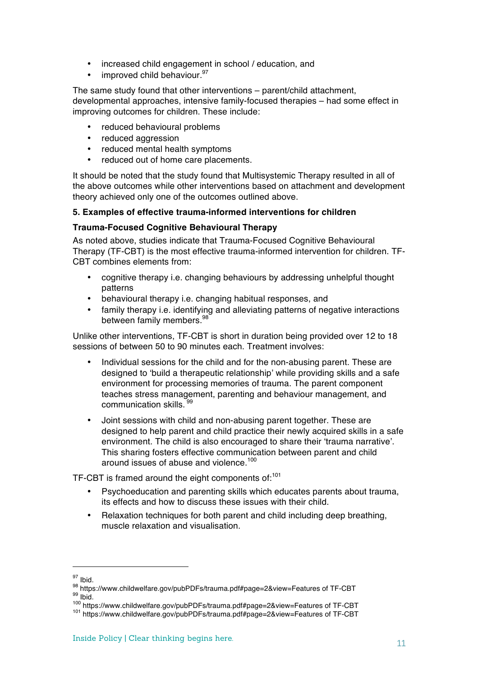- increased child engagement in school / education, and
- improved child behaviour.<sup>97</sup>

The same study found that other interventions – parent/child attachment, developmental approaches, intensive family-focused therapies – had some effect in improving outcomes for children. These include:

- reduced behavioural problems
- reduced aggression
- reduced mental health symptoms
- reduced out of home care placements.

It should be noted that the study found that Multisystemic Therapy resulted in all of the above outcomes while other interventions based on attachment and development theory achieved only one of the outcomes outlined above.

## **5. Examples of effective trauma-informed interventions for children**

## **Trauma-Focused Cognitive Behavioural Therapy**

As noted above, studies indicate that Trauma-Focused Cognitive Behavioural Therapy (TF-CBT) is the most effective trauma-informed intervention for children. TF-CBT combines elements from:

- cognitive therapy i.e. changing behaviours by addressing unhelpful thought patterns
- behavioural therapy i.e. changing habitual responses, and
- family therapy i.e. identifying and alleviating patterns of negative interactions between family members.<sup>98</sup>

Unlike other interventions, TF-CBT is short in duration being provided over 12 to 18 sessions of between 50 to 90 minutes each. Treatment involves:

- Individual sessions for the child and for the non-abusing parent. These are designed to 'build a therapeutic relationship' while providing skills and a safe environment for processing memories of trauma. The parent component teaches stress management, parenting and behaviour management, and communication skills. <sup>99</sup>
- Joint sessions with child and non-abusing parent together. These are designed to help parent and child practice their newly acquired skills in a safe environment. The child is also encouraged to share their 'trauma narrative'. This sharing fosters effective communication between parent and child around issues of abuse and violence.<sup>100</sup>

TF-CBT is framed around the eight components of:<sup>101</sup>

- Psychoeducation and parenting skills which educates parents about trauma, its effects and how to discuss these issues with their child.
- Relaxation techniques for both parent and child including deep breathing, muscle relaxation and visualisation.

<sup>&</sup>lt;sup>97</sup> Ibid.<br><sup>98</sup> https://www.childwelfare.gov/pubPDFs/trauma.pdf#page=2&view=Features of TF-CBT<br><sup>99</sup> Ibid.<br><sup>100</sup> https://www.childwelfare.gov/pubPDFs/trauma.pdf#page=2&view=Features of TF-CBT<br><sup>101</sup> https://www.childwelfare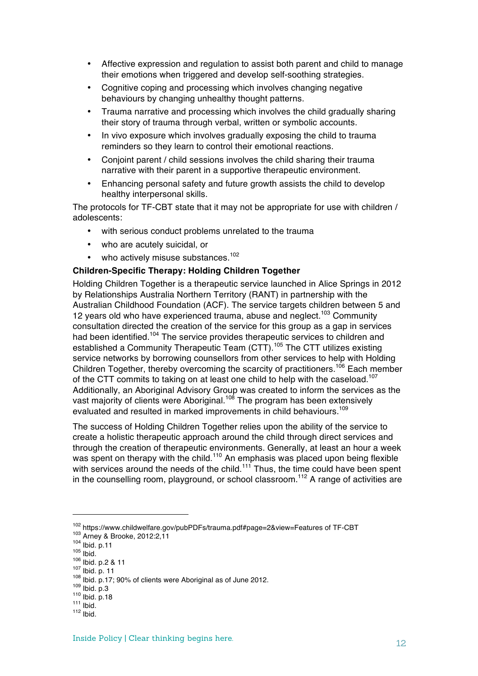- Affective expression and regulation to assist both parent and child to manage their emotions when triggered and develop self-soothing strategies.
- Cognitive coping and processing which involves changing negative behaviours by changing unhealthy thought patterns.
- Trauma narrative and processing which involves the child gradually sharing their story of trauma through verbal, written or symbolic accounts.
- In vivo exposure which involves gradually exposing the child to trauma reminders so they learn to control their emotional reactions.
- Conjoint parent / child sessions involves the child sharing their trauma narrative with their parent in a supportive therapeutic environment.
- Enhancing personal safety and future growth assists the child to develop healthy interpersonal skills.

The protocols for TF-CBT state that it may not be appropriate for use with children / adolescents:

- with serious conduct problems unrelated to the trauma
- who are acutely suicidal, or
- who actively misuse substances.<sup>102</sup>

## **Children-Specific Therapy: Holding Children Together**

Holding Children Together is a therapeutic service launched in Alice Springs in 2012 by Relationships Australia Northern Territory (RANT) in partnership with the Australian Childhood Foundation (ACF). The service targets children between 5 and 12 years old who have experienced trauma, abuse and neglect.<sup>103</sup> Community consultation directed the creation of the service for this group as a gap in services had been identified.<sup>104</sup> The service provides therapeutic services to children and established a Community Therapeutic Team (CTT).<sup>105</sup> The CTT utilizes existing service networks by borrowing counsellors from other services to help with Holding Children Together, thereby overcoming the scarcity of practitioners.<sup>106</sup> Each member of the CTT commits to taking on at least one child to help with the caseload.<sup>107</sup> Additionally, an Aboriginal Advisory Group was created to inform the services as the vast majority of clients were Aboriginal.<sup>108</sup> The program has been extensively evaluated and resulted in marked improvements in child behaviours.<sup>109</sup>

The success of Holding Children Together relies upon the ability of the service to create a holistic therapeutic approach around the child through direct services and through the creation of therapeutic environments. Generally, at least an hour a week was spent on therapy with the child.<sup>110</sup> An emphasis was placed upon being flexible with services around the needs of the child.<sup>111</sup> Thus, the time could have been spent in the counselling room, playground, or school classroom.<sup>112</sup> A range of activities are

<sup>&</sup>lt;sup>102</sup> https://www.childwelfare.gov/pubPDFs/trauma.pdf#page=2&view=Features of TF-CBT<br><sup>103</sup> Arney & Brooke, 2012:2,11<br><sup>104</sup> lbid. p.11<br><sup>105</sup> lbid.<br><sup>106</sup> lbid. p.2 & 11<br><sup>107</sup> lbid. p.17; 90% of clients were Aboriginal as of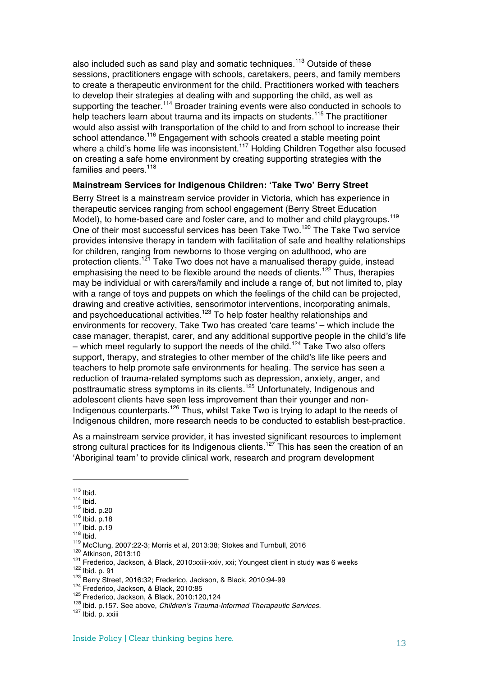also included such as sand play and somatic techniques.<sup>113</sup> Outside of these sessions, practitioners engage with schools, caretakers, peers, and family members to create a therapeutic environment for the child. Practitioners worked with teachers to develop their strategies at dealing with and supporting the child, as well as supporting the teacher.<sup>114</sup> Broader training events were also conducted in schools to help teachers learn about trauma and its impacts on students.<sup>115</sup> The practitioner would also assist with transportation of the child to and from school to increase their school attendance.<sup>116</sup> Engagement with schools created a stable meeting point where a child's home life was inconsistent.<sup>117</sup> Holding Children Together also focused on creating a safe home environment by creating supporting strategies with the families and peers.<sup>118</sup>

#### **Mainstream Services for Indigenous Children: 'Take Two' Berry Street**

Berry Street is a mainstream service provider in Victoria, which has experience in therapeutic services ranging from school engagement (Berry Street Education Model), to home-based care and foster care, and to mother and child playgroups.<sup>119</sup> One of their most successful services has been Take Two.<sup>120</sup> The Take Two service provides intensive therapy in tandem with facilitation of safe and healthy relationships for children, ranging from newborns to those verging on adulthood, who are protection clients.<sup>121</sup> Take Two does not have a manualised therapy guide, instead emphasising the need to be flexible around the needs of clients.<sup>122</sup> Thus, therapies may be individual or with carers/family and include a range of, but not limited to, play with a range of toys and puppets on which the feelings of the child can be projected, drawing and creative activities, sensorimotor interventions, incorporating animals, and psychoeducational activities.<sup>123</sup> To help foster healthy relationships and environments for recovery, Take Two has created 'care teams' – which include the case manager, therapist, carer, and any additional supportive people in the child's life – which meet regularly to support the needs of the child.<sup>124</sup> Take Two also offers support, therapy, and strategies to other member of the child's life like peers and teachers to help promote safe environments for healing. The service has seen a reduction of trauma-related symptoms such as depression, anxiety, anger, and posttraumatic stress symptoms in its clients.<sup>125</sup> Unfortunately, Indigenous and adolescent clients have seen less improvement than their younger and non-Indigenous counterparts.<sup>126</sup> Thus, whilst Take Two is trying to adapt to the needs of Indigenous children, more research needs to be conducted to establish best-practice.

As a mainstream service provider, it has invested significant resources to implement strong cultural practices for its Indigenous clients.<sup>127</sup> This has seen the creation of an 'Aboriginal team' to provide clinical work, research and program development

<sup>&</sup>lt;sup>113</sup> Ibid.<br>
<sup>115</sup> Ibid. p.20<br>
<sup>116</sup> Ibid. p.18<br>
<sup>116</sup> Ibid. p.18<br>
<sup>118</sup> Ibid. p.19<br>
<sup>118</sup> Ibid. p.19<br>
<sup>120</sup> Atkinson, 2013:10<br>
<sup>120</sup> Atkinson, 2013:10<br>
<sup>121</sup> Frederico, Jackson, & Black, 2010:xxiii-xxiv, xxi; Youngest cli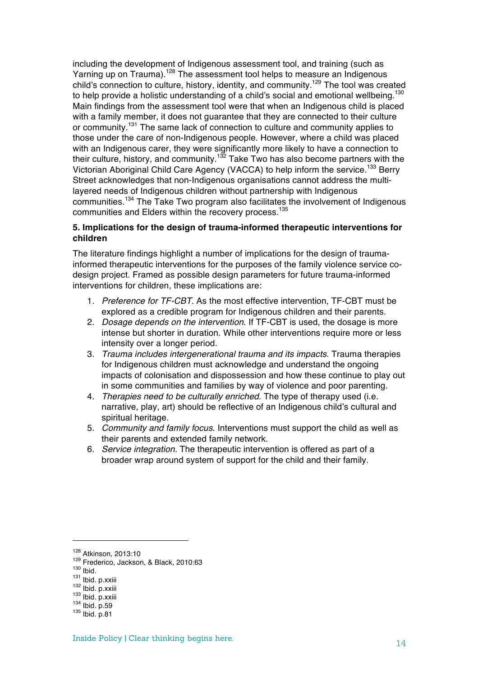including the development of Indigenous assessment tool, and training (such as Yarning up on Trauma).<sup>128</sup> The assessment tool helps to measure an Indigenous child's connection to culture, history, identity, and community.<sup>129</sup> The tool was created to help provide a holistic understanding of a child's social and emotional wellbeing.<sup>130</sup> Main findings from the assessment tool were that when an Indigenous child is placed with a family member, it does not guarantee that they are connected to their culture or community.<sup>131</sup> The same lack of connection to culture and community applies to those under the care of non-Indigenous people. However, where a child was placed with an Indigenous carer, they were significantly more likely to have a connection to their culture, history, and community.<sup>132</sup> Take Two has also become partners with the Victorian Aboriginal Child Care Agency (VACCA) to help inform the service.<sup>133</sup> Berry Street acknowledges that non-Indigenous organisations cannot address the multilayered needs of Indigenous children without partnership with Indigenous communities.<sup>134</sup> The Take Two program also facilitates the involvement of Indigenous communities and Elders within the recovery process.<sup>135</sup>

# **5. Implications for the design of trauma-informed therapeutic interventions for children**

The literature findings highlight a number of implications for the design of traumainformed therapeutic interventions for the purposes of the family violence service codesign project. Framed as possible design parameters for future trauma-informed interventions for children, these implications are:

- 1. *Preference for TF-CBT*. As the most effective intervention, TF-CBT must be explored as a credible program for Indigenous children and their parents.
- 2. *Dosage depends on the intervention*. If TF-CBT is used, the dosage is more intense but shorter in duration. While other interventions require more or less intensity over a longer period.
- 3. *Trauma includes intergenerational trauma and its impacts*. Trauma therapies for Indigenous children must acknowledge and understand the ongoing impacts of colonisation and dispossession and how these continue to play out in some communities and families by way of violence and poor parenting.
- 4. *Therapies need to be culturally enriched*. The type of therapy used (i.e. narrative, play, art) should be reflective of an Indigenous child's cultural and spiritual heritage.
- 5. *Community and family focus*. Interventions must support the child as well as their parents and extended family network.
- 6. *Service integration.* The therapeutic intervention is offered as part of a broader wrap around system of support for the child and their family.

<sup>&</sup>lt;sup>128</sup> Atkinson, 2013:10<br><sup>129</sup> Frederico, Jackson, & Black, 2010:63<br><sup>130</sup> Ibid.<br><sup>131</sup> Ibid. p.xxiii<br><sup>132</sup> Ibid. p.xxiii<br><sup>133</sup> Ibid. p.59<br><sup>135</sup> Ibid. p.81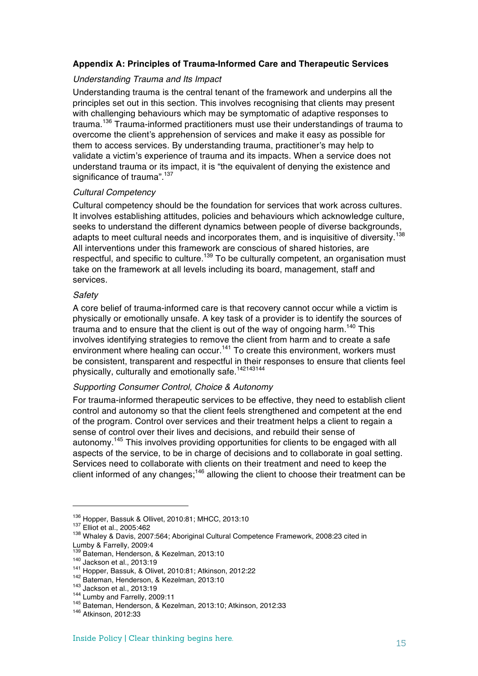# **Appendix A: Principles of Trauma-Informed Care and Therapeutic Services**

## *Understanding Trauma and Its Impact*

Understanding trauma is the central tenant of the framework and underpins all the principles set out in this section. This involves recognising that clients may present with challenging behaviours which may be symptomatic of adaptive responses to trauma.<sup>136</sup> Trauma-informed practitioners must use their understandings of trauma to overcome the client's apprehension of services and make it easy as possible for them to access services. By understanding trauma, practitioner's may help to validate a victim's experience of trauma and its impacts. When a service does not understand trauma or its impact, it is "the equivalent of denying the existence and significance of trauma".<sup>137</sup>

## *Cultural Competency*

Cultural competency should be the foundation for services that work across cultures. It involves establishing attitudes, policies and behaviours which acknowledge culture, seeks to understand the different dynamics between people of diverse backgrounds, adapts to meet cultural needs and incorporates them, and is inquisitive of diversity.<sup>138</sup> All interventions under this framework are conscious of shared histories, are respectful, and specific to culture.<sup>139</sup> To be culturally competent, an organisation must take on the framework at all levels including its board, management, staff and services.

## *Safety*

A core belief of trauma-informed care is that recovery cannot occur while a victim is physically or emotionally unsafe. A key task of a provider is to identify the sources of trauma and to ensure that the client is out of the way of ongoing harm.<sup>140</sup> This involves identifying strategies to remove the client from harm and to create a safe environment where healing can occur.<sup>141</sup> To create this environment, workers must be consistent, transparent and respectful in their responses to ensure that clients feel physically, culturally and emotionally safe.<sup>142143144</sup>

## *Supporting Consumer Control, Choice & Autonomy*

For trauma-informed therapeutic services to be effective, they need to establish client control and autonomy so that the client feels strengthened and competent at the end of the program. Control over services and their treatment helps a client to regain a sense of control over their lives and decisions, and rebuild their sense of autonomy.<sup>145</sup> This involves providing opportunities for clients to be engaged with all aspects of the service, to be in charge of decisions and to collaborate in goal setting. Services need to collaborate with clients on their treatment and need to keep the client informed of any changes;<sup>146</sup> allowing the client to choose their treatment can be

<sup>&</sup>lt;sup>136</sup> Hopper, Bassuk & Ollivet, 2010:81; MHCC, 2013:10<br><sup>137</sup> Elliot et al., 2005:462<br><sup>138</sup> Whaley & Davis, 2007:564; Aboriginal Cultural Competence Framework, 2008:23 cited in

Lumby & Farrelly, 2009:4<br>
<sup>139</sup> Bateman, Henderson, & Kezelman, 2013:10<br>
<sup>140</sup> Jackson et al., 2013:19<br>
<sup>141</sup> Hopper, Bassuk, & Olivet, 2010:81; Atkinson, 2012:22<br>
<sup>142</sup> Bateman, Henderson, & Kezelman, 2013:10<br>
<sup>144</sup> Lumby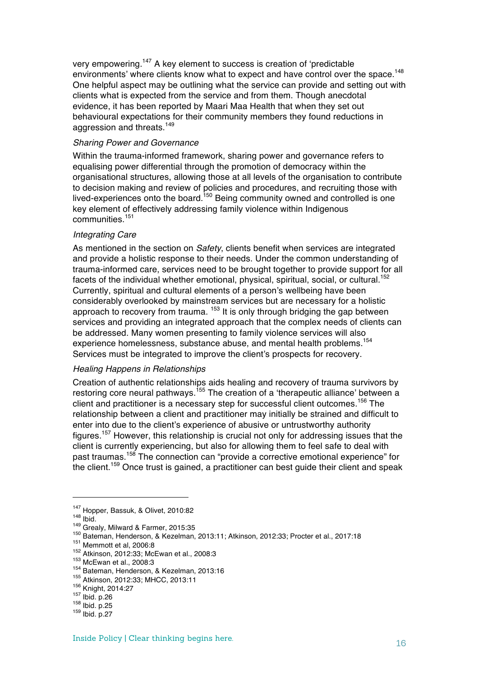very empowering.<sup>147</sup> A key element to success is creation of 'predictable environments' where clients know what to expect and have control over the space.<sup>148</sup> One helpful aspect may be outlining what the service can provide and setting out with clients what is expected from the service and from them. Though anecdotal evidence, it has been reported by Maari Maa Health that when they set out behavioural expectations for their community members they found reductions in aggression and threats.<sup>149</sup>

### *Sharing Power and Governance*

Within the trauma-informed framework, sharing power and governance refers to equalising power differential through the promotion of democracy within the organisational structures, allowing those at all levels of the organisation to contribute to decision making and review of policies and procedures, and recruiting those with lived-experiences onto the board.<sup>150</sup> Being community owned and controlled is one key element of effectively addressing family violence within Indigenous communities.<sup>151</sup>

## *Integrating Care*

As mentioned in the section on *Safety*, clients benefit when services are integrated and provide a holistic response to their needs. Under the common understanding of trauma-informed care, services need to be brought together to provide support for all facets of the individual whether emotional, physical, spiritual, social, or cultural.<sup>152</sup> Currently, spiritual and cultural elements of a person's wellbeing have been considerably overlooked by mainstream services but are necessary for a holistic approach to recovery from trauma.<sup>153</sup> It is only through bridging the gap between services and providing an integrated approach that the complex needs of clients can be addressed. Many women presenting to family violence services will also experience homelessness, substance abuse, and mental health problems.<sup>154</sup> Services must be integrated to improve the client's prospects for recovery.

#### *Healing Happens in Relationships*

Creation of authentic relationships aids healing and recovery of trauma survivors by restoring core neural pathways.<sup>155</sup> The creation of a 'therapeutic alliance' between a client and practitioner is a necessary step for successful client outcomes.<sup>156</sup> The relationship between a client and practitioner may initially be strained and difficult to enter into due to the client's experience of abusive or untrustworthy authority figures.<sup>157</sup> However, this relationship is crucial not only for addressing issues that the client is currently experiencing, but also for allowing them to feel safe to deal with past traumas.<sup>158</sup> The connection can "provide a corrective emotional experience" for the client.<sup>159</sup> Once trust is gained, a practitioner can best guide their client and speak

<sup>&</sup>lt;sup>147</sup> Hopper, Bassuk, & Olivet, 2010:82<br><sup>148</sup> Ibid.<br><sup>149</sup> Grealy, Milward & Farmer, 2015:35<br><sup>150</sup> Bateman, Henderson, & Kezelman, 2013:11; Atkinson, 2012:33; Procter et al., 2017:18<br><sup>152</sup> Mtkinson, 2012:33; McEwan et al.,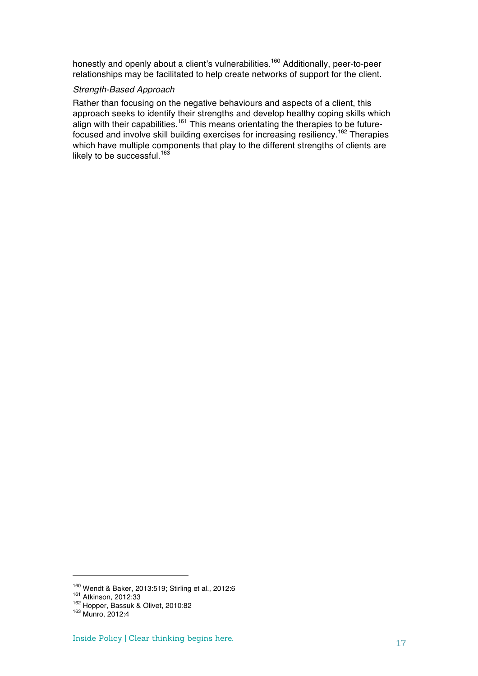honestly and openly about a client's vulnerabilities.<sup>160</sup> Additionally, peer-to-peer relationships may be facilitated to help create networks of support for the client.

#### *Strength-Based Approach*

Rather than focusing on the negative behaviours and aspects of a client, this approach seeks to identify their strengths and develop healthy coping skills which align with their capabilities.<sup>161</sup> This means orientating the therapies to be futurefocused and involve skill building exercises for increasing resiliency.<sup>162</sup> Therapies which have multiple components that play to the different strengths of clients are likely to be successful.<sup>163</sup>

<sup>&</sup>lt;sup>160</sup> Wendt & Baker, 2013:519; Stirling et al., 2012:6<br><sup>161</sup> Atkinson, 2012:33<br><sup>162</sup> Hopper, Bassuk & Olivet, 2010:82<br><sup>163</sup> Munro, 2012:4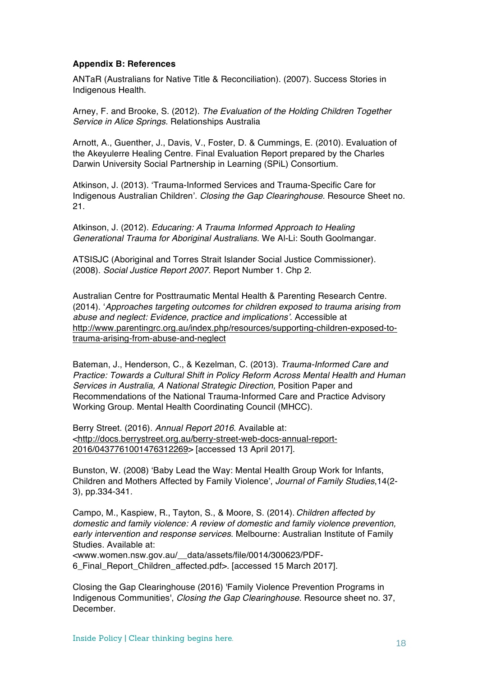## **Appendix B: References**

ANTaR (Australians for Native Title & Reconciliation). (2007). Success Stories in Indigenous Health.

Arney, F. and Brooke, S. (2012). *The Evaluation of the Holding Children Together Service in Alice Springs.* Relationships Australia

Arnott, A., Guenther, J., Davis, V., Foster, D. & Cummings, E. (2010). Evaluation of the Akeyulerre Healing Centre. Final Evaluation Report prepared by the Charles Darwin University Social Partnership in Learning (SPiL) Consortium.

Atkinson, J. (2013). 'Trauma-Informed Services and Trauma-Specific Care for Indigenous Australian Children'. *Closing the Gap Clearinghouse.* Resource Sheet no. 21.

Atkinson, J. (2012). *Educaring: A Trauma Informed Approach to Healing Generational Trauma for Aboriginal Australians*. We Al-Li: South Goolmangar.

ATSISJC (Aboriginal and Torres Strait Islander Social Justice Commissioner). (2008). *Social Justice Report 2007*. Report Number 1. Chp 2.

Australian Centre for Posttraumatic Mental Health & Parenting Research Centre. (2014). '*Approaches targeting outcomes for children exposed to trauma arising from abuse and neglect: Evidence, practice and implications'*. Accessible at http://www.parentingrc.org.au/index.php/resources/supporting-children-exposed-totrauma-arising-from-abuse-and-neglect

Bateman, J., Henderson, C., & Kezelman, C. (2013). *Trauma-Informed Care and Practice: Towards a Cultural Shift in Policy Reform Across Mental Health and Human Services in Australia, A National Strategic Direction,* Position Paper and Recommendations of the National Trauma-Informed Care and Practice Advisory Working Group. Mental Health Coordinating Council (MHCC).

Berry Street. (2016). *Annual Report 2016*. Available at: <http://docs.berrystreet.org.au/berry-street-web-docs-annual-report-2016/0437761001476312269> [accessed 13 April 2017].

Bunston, W. (2008) 'Baby Lead the Way: Mental Health Group Work for Infants, Children and Mothers Affected by Family Violence', *Journal of Family Studies*,14(2- 3), pp.334-341.

Campo, M., Kaspiew, R., Tayton, S., & Moore, S. (2014). *Children affected by domestic and family violence: A review of domestic and family violence prevention, early intervention and response services*. Melbourne: Australian Institute of Family Studies. Available at:

<www.women.nsw.gov.au/\_\_data/assets/file/0014/300623/PDF-6\_Final\_Report\_Children\_affected.pdf>. [accessed 15 March 2017].

Closing the Gap Clearinghouse (2016) 'Family Violence Prevention Programs in Indigenous Communities', *Closing the Gap Clearinghouse*. Resource sheet no. 37, **December**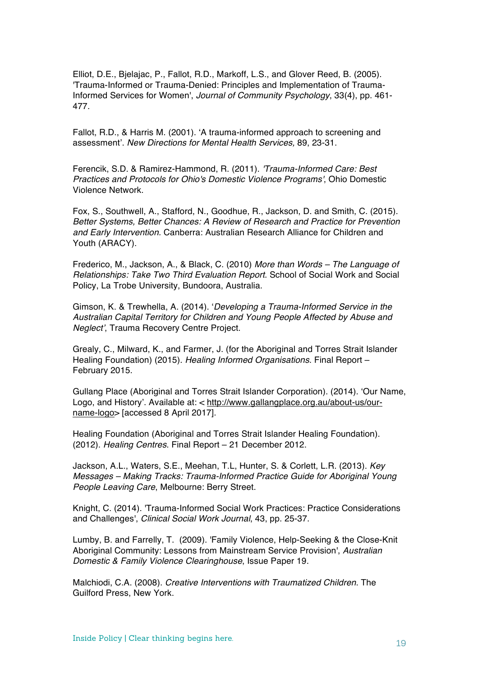Elliot, D.E., Bjelajac, P., Fallot, R.D., Markoff, L.S., and Glover Reed, B. (2005). 'Trauma-Informed or Trauma-Denied: Principles and Implementation of Trauma-Informed Services for Women', *Journal of Community Psychology*, 33(4), pp. 461- 477.

Fallot, R.D., & Harris M. (2001). 'A trauma-informed approach to screening and assessment'. *New Directions for Mental Health Services,* 89, 23-31.

Ferencik, S.D. & Ramirez-Hammond, R. (2011). *'Trauma-Informed Care: Best Practices and Protocols for Ohio's Domestic Violence Programs'*, Ohio Domestic Violence Network.

Fox, S., Southwell, A., Stafford, N., Goodhue, R., Jackson, D. and Smith, C. (2015). *Better Systems, Better Chances: A Review of Research and Practice for Prevention and Early Intervention.* Canberra: Australian Research Alliance for Children and Youth (ARACY).

Frederico, M., Jackson, A., & Black, C. (2010) *More than Words – The Language of Relationships: Take Two Third Evaluation Report*. School of Social Work and Social Policy, La Trobe University, Bundoora, Australia.

Gimson, K. & Trewhella, A. (2014). '*Developing a Trauma-Informed Service in the Australian Capital Territory for Children and Young People Affected by Abuse and Neglect'*, Trauma Recovery Centre Project.

Grealy, C., Milward, K., and Farmer, J. (for the Aboriginal and Torres Strait Islander Healing Foundation) (2015). *Healing Informed Organisations*. Final Report – February 2015.

Gullang Place (Aboriginal and Torres Strait Islander Corporation). (2014). 'Our Name, Logo, and History'. Available at: < http://www.gallangplace.org.au/about-us/ourname-logo> [accessed 8 April 2017].

Healing Foundation (Aboriginal and Torres Strait Islander Healing Foundation). (2012). *Healing Centres*. Final Report – 21 December 2012.

Jackson, A.L., Waters, S.E., Meehan, T.L, Hunter, S. & Corlett, L.R. (2013). *Key Messages – Making Tracks: Trauma-Informed Practice Guide for Aboriginal Young People Leaving Care*, Melbourne: Berry Street.

Knight, C. (2014). 'Trauma-Informed Social Work Practices: Practice Considerations and Challenges', *Clinical Social Work Journal*, 43, pp. 25-37.

Lumby, B. and Farrelly, T. (2009). 'Family Violence, Help-Seeking & the Close-Knit Aboriginal Community: Lessons from Mainstream Service Provision', *Australian Domestic & Family Violence Clearinghouse*, Issue Paper 19.

Malchiodi, C.A. (2008). *Creative Interventions with Traumatized Children*. The Guilford Press, New York.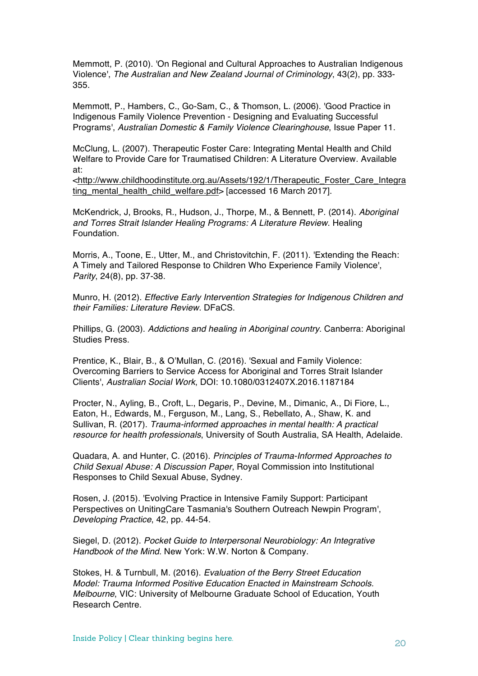Memmott, P. (2010). 'On Regional and Cultural Approaches to Australian Indigenous Violence', *The Australian and New Zealand Journal of Criminology*, 43(2), pp. 333- 355.

Memmott, P., Hambers, C., Go-Sam, C., & Thomson, L. (2006). 'Good Practice in Indigenous Family Violence Prevention - Designing and Evaluating Successful Programs', *Australian Domestic & Family Violence Clearinghouse*, Issue Paper 11.

McClung, L. (2007). Therapeutic Foster Care: Integrating Mental Health and Child Welfare to Provide Care for Traumatised Children: A Literature Overview. Available at:

<http://www.childhoodinstitute.org.au/Assets/192/1/Therapeutic\_Foster\_Care\_Integra ting mental health child welfare.pdf> [accessed 16 March 2017].

McKendrick, J, Brooks, R., Hudson, J., Thorpe, M., & Bennett, P. (2014). *Aboriginal and Torres Strait Islander Healing Programs: A Literature Review*. Healing Foundation.

Morris, A., Toone, E., Utter, M., and Christovitchin, F. (2011). 'Extending the Reach: A Timely and Tailored Response to Children Who Experience Family Violence', *Parity*, 24(8), pp. 37-38.

Munro, H. (2012). *Effective Early Intervention Strategies for Indigenous Children and their Families: Literature Review*. DFaCS.

Phillips, G. (2003). *Addictions and healing in Aboriginal country*. Canberra: Aboriginal Studies Press.

Prentice, K., Blair, B., & O'Mullan, C. (2016). 'Sexual and Family Violence: Overcoming Barriers to Service Access for Aboriginal and Torres Strait Islander Clients', *Australian Social Work*, DOI: 10.1080/0312407X.2016.1187184

Procter, N., Ayling, B., Croft, L., Degaris, P., Devine, M., Dimanic, A., Di Fiore, L., Eaton, H., Edwards, M., Ferguson, M., Lang, S., Rebellato, A., Shaw, K. and Sullivan, R. (2017). *Trauma-informed approaches in mental health: A practical resource for health professionals*, University of South Australia, SA Health, Adelaide.

Quadara, A. and Hunter, C. (2016). *Principles of Trauma-Informed Approaches to Child Sexual Abuse: A Discussion Paper*, Royal Commission into Institutional Responses to Child Sexual Abuse, Sydney.

Rosen, J. (2015). 'Evolving Practice in Intensive Family Support: Participant Perspectives on UnitingCare Tasmania's Southern Outreach Newpin Program', *Developing Practice*, 42, pp. 44-54.

Siegel, D. (2012). *Pocket Guide to Interpersonal Neurobiology: An Integrative Handbook of the Mind*. New York: W.W. Norton & Company.

Stokes, H. & Turnbull, M. (2016). *Evaluation of the Berry Street Education Model: Trauma Informed Positive Education Enacted in Mainstream Schools. Melbourne*, VIC: University of Melbourne Graduate School of Education, Youth Research Centre.